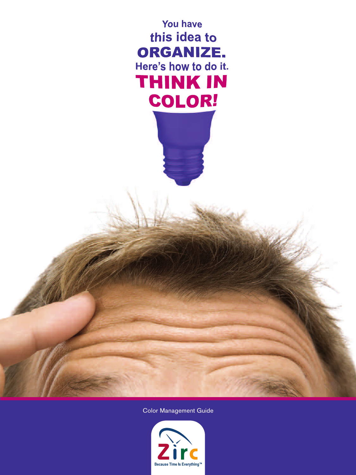

Color Management Guide

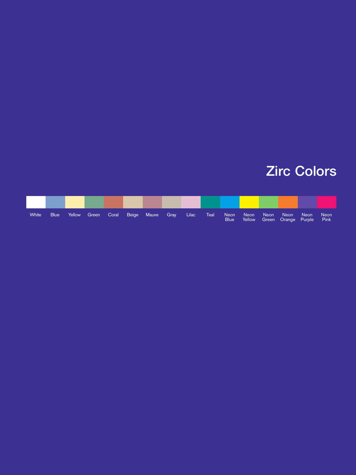## Zirc Colors

| White | <b>Blue</b> | Yellow |  | Green Coral Beige Mauve Gray | Lilac | Teal | Neon<br><b>Blue</b> | Neon <sup>1</sup> | <b>Neon</b> | Neon <sup>1</sup><br>Yellow Green Orange Purple | Neon | <b>Neon</b><br><b>Pink</b> |
|-------|-------------|--------|--|------------------------------|-------|------|---------------------|-------------------|-------------|-------------------------------------------------|------|----------------------------|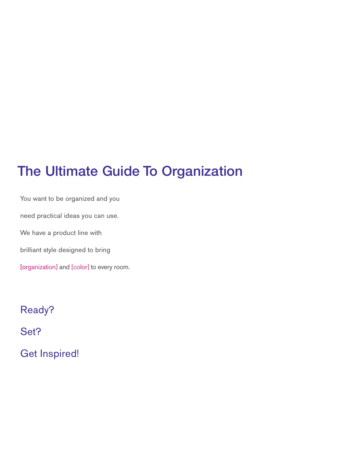## The Ultimate Guide To Organization

You want to be organized and you need practical ideas you can use. We have a product line with brilliant style designed to bring [organization] and [color] to every room.

Ready? Set? Get Inspired!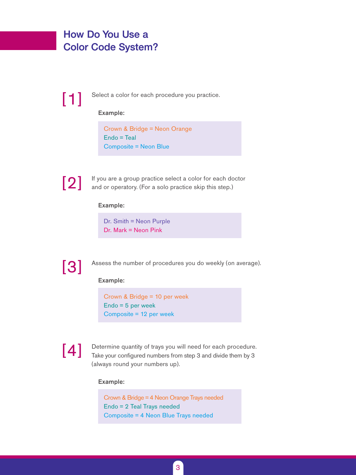## How Do You Use a Color Code System?

Select a color for each procedure you practice.

#### Example:

Crown & Bridge = Neon Orange Endo = Teal Composite = Neon Blue



[1]

If you are a group practice select a color for each doctor and or operatory. (For a solo practice skip this step.)

#### Example:

Dr. Smith = Neon Purple Dr. Mark = Neon Pink



Assess the number of procedures you do weekly (on average).

#### Example:

Crown & Bridge = 10 per week Endo = 5 per week Composite = 12 per week

# [4]

Determine quantity of trays you will need for each procedure. Take your configured numbers from step 3 and divide them by 3 (always round your numbers up).

#### Example:

Crown & Bridge = 4 Neon Orange Trays needed Endo = 2 Teal Trays needed Composite = 4 Neon Blue Trays needed

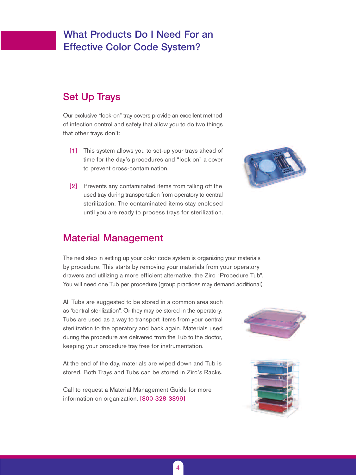## What Products Do I Need For an Effective Color Code System?

### Set Up Trays

Our exclusive "lock-on" tray covers provide an excellent method of infection control and safety that allow you to do two things that other trays don't:

- [1] This system allows you to set-up your trays ahead of time for the day's procedures and "lock on" a cover to prevent cross-contamination.
- [2] Prevents any contaminated items from falling off the used tray during transportation from operatory to central sterilization. The contaminated items stay enclosed until you are ready to process trays for sterilization.



### Material Management

The next step in setting up your color code system is organizing your materials by procedure. This starts by removing your materials from your operatory drawers and utilizing a more efficient alternative, the Zirc "Procedure Tub". You will need one Tub per procedure (group practices may demand additional).

All Tubs are suggested to be stored in a common area such as "central sterilization". Or they may be stored in the operatory. Tubs are used as a way to transport items from your central sterilization to the operatory and back again. Materials used during the procedure are delivered from the Tub to the doctor, keeping your procedure tray free for instrumentation.

At the end of the day, materials are wiped down and Tub is stored. Both Trays and Tubs can be stored in Zirc's Racks.

Call to request a Material Management Guide for more information on organization. [800-328-3899]





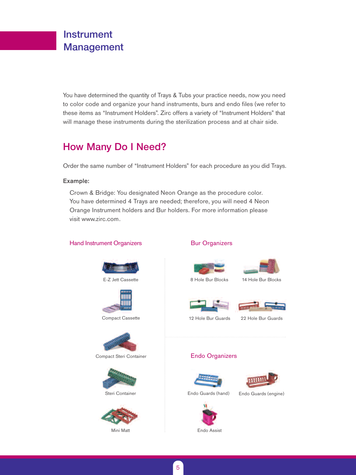## Instrument Management

You have determined the quantity of Trays & Tubs your practice needs, now you need to color code and organize your hand instruments, burs and endo files (we refer to these items as "Instrument Holders". Zirc offers a variety of "Instrument Holders" that will manage these instruments during the sterilization process and at chair side.

## How Many Do I Need?

Order the same number of "Instrument Holders" for each procedure as you did Trays.

#### Example:

Crown & Bridge: You designated Neon Orange as the procedure color. You have determined 4 Trays are needed; therefore, you will need 4 Neon Orange Instrument holders and Bur holders. For more information please visit www.zirc.com.

#### Hand Instrument Organizers **Bur Organizers Bur Organizers**







Compact Cassette



Compact Steri Container



Steri Container



Mini Matt





14 Hole Bur Blocks





12 Hole Bur Guards

22 Hole Bur Guards

### Endo Organizers





Endo Guards (hand)

Endo Guards (engine)



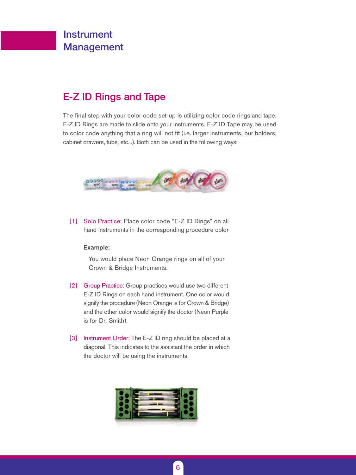## Instrument Management

## E-Z ID Rings and Tape

The final step with your color code set-up is utilizing color code rings and tape. E-Z ID Rings are made to slide onto your instruments. E-Z ID Tape may be used to color code anything that a ring will not fit (i.e. larger instruments, bur holders, cabinet drawers, tubs, etc...). Both can be used in the following ways:



[1] Solo Practice: Place color code "E-Z ID Rings" on all hand instruments in the corresponding procedure color

#### Example:

You would place Neon Orange rings on all of your Crown & Bridge Instruments.

- [2] Group Practice: Group practices would use two different E-Z ID Rings on each hand instrument. One color would signify the procedure (Neon Orange is for Crown & Bridge) and the other color would signify the doctor (Neon Purple is for Dr. Smith).
- [3] Instrument Order: The E-Z ID ring should be placed at a diagonal. This indicates to the assistant the order in which the doctor will be using the instruments.